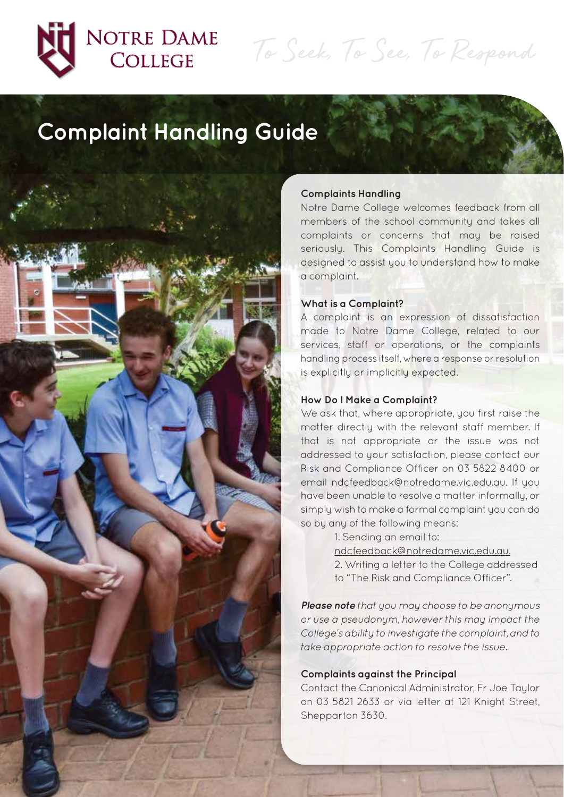

# NOTRE DAME **COLLEGE**

To Seek, To See, To Respond

# **Complaint Handling Guide**



#### **Complaints Handling**

Notre Dame College welcomes feedback from all members of the school community and takes all complaints or concerns that may be raised seriously. This Complaints Handling Guide is designed to assist you to understand how to make a complaint.

#### **What is a Complaint?**

A complaint is an expression of dissatisfaction made to Notre Dame College, related to our services, staff or operations, or the complaints handling process itself, where a response or resolution is explicitly or implicitly expected.

### **How Do I Make a Complaint?**

We ask that, where appropriate, you first raise the matter directly with the relevant staff member. If that is not appropriate or the issue was not addressed to your satisfaction, please contact our Risk and Compliance Officer on 03 5822 8400 or email ndcfeedback@notredame.vic.edu.au. If you have been unable to resolve a matter informally, or simply wish to make a formal complaint you can do so by any of the following means:

> 1. Sending an email to: ndcfeedback@notredame.vic.edu.au. 2. Writing a letter to the College addressed to "The Risk and Compliance Officer".

**Please note** that you may choose to be anonymous or use a pseudonym, however this may impact the College's ability to investigate the complaint, and to take appropriate action to resolve the issue.

#### **Complaints against the Principal**

Contact the Canonical Administrator, Fr Joe Taylor on 03 5821 2633 or via letter at 121 Knight Street, Shepparton 3630.